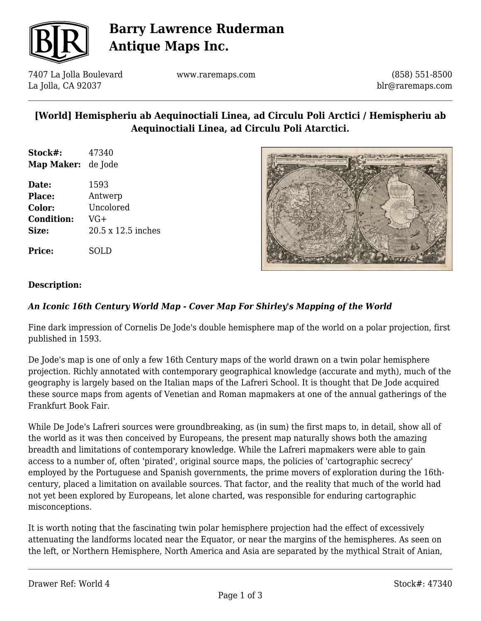

# **Barry Lawrence Ruderman Antique Maps Inc.**

7407 La Jolla Boulevard La Jolla, CA 92037

www.raremaps.com

(858) 551-8500 blr@raremaps.com

## **[World] Hemispheriu ab Aequinoctiali Linea, ad Circulu Poli Arctici / Hemispheriu ab Aequinoctiali Linea, ad Circulu Poli Atarctici.**

**Stock#:** 47340 **Map Maker:** de Jode

**Date:** 1593 **Place:** Antwerp **Color:** Uncolored **Condition:** VG+ **Size:** 20.5 x 12.5 inches

**Price:** SOLD



#### **Description:**

#### *An Iconic 16th Century World Map - Cover Map For Shirley's Mapping of the World*

Fine dark impression of Cornelis De Jode's double hemisphere map of the world on a polar projection, first published in 1593.

De Jode's map is one of only a few 16th Century maps of the world drawn on a twin polar hemisphere projection. Richly annotated with contemporary geographical knowledge (accurate and myth), much of the geography is largely based on the Italian maps of the Lafreri School. It is thought that De Jode acquired these source maps from agents of Venetian and Roman mapmakers at one of the annual gatherings of the Frankfurt Book Fair.

While De Jode's Lafreri sources were groundbreaking, as (in sum) the first maps to, in detail, show all of the world as it was then conceived by Europeans, the present map naturally shows both the amazing breadth and limitations of contemporary knowledge. While the Lafreri mapmakers were able to gain access to a number of, often 'pirated', original source maps, the policies of 'cartographic secrecy' employed by the Portuguese and Spanish governments, the prime movers of exploration during the 16thcentury, placed a limitation on available sources. That factor, and the reality that much of the world had not yet been explored by Europeans, let alone charted, was responsible for enduring cartographic misconceptions.

It is worth noting that the fascinating twin polar hemisphere projection had the effect of excessively attenuating the landforms located near the Equator, or near the margins of the hemispheres. As seen on the left, or Northern Hemisphere, North America and Asia are separated by the mythical Strait of Anian,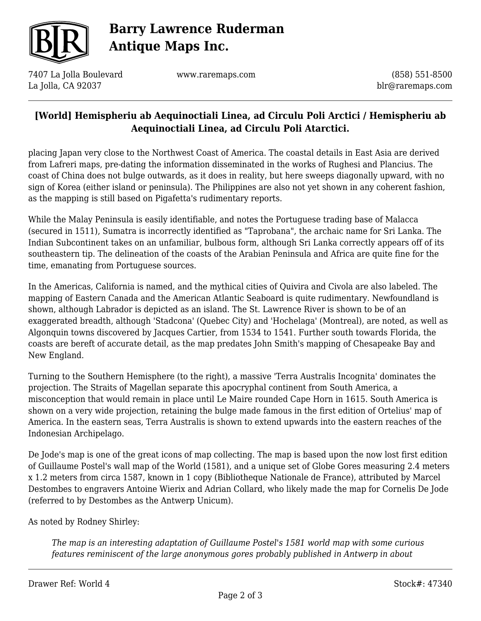

# **Barry Lawrence Ruderman Antique Maps Inc.**

7407 La Jolla Boulevard La Jolla, CA 92037

www.raremaps.com

(858) 551-8500 blr@raremaps.com

## **[World] Hemispheriu ab Aequinoctiali Linea, ad Circulu Poli Arctici / Hemispheriu ab Aequinoctiali Linea, ad Circulu Poli Atarctici.**

placing Japan very close to the Northwest Coast of America. The coastal details in East Asia are derived from Lafreri maps, pre-dating the information disseminated in the works of Rughesi and Plancius. The coast of China does not bulge outwards, as it does in reality, but here sweeps diagonally upward, with no sign of Korea (either island or peninsula). The Philippines are also not yet shown in any coherent fashion, as the mapping is still based on Pigafetta's rudimentary reports.

While the Malay Peninsula is easily identifiable, and notes the Portuguese trading base of Malacca (secured in 1511), Sumatra is incorrectly identified as "Taprobana", the archaic name for Sri Lanka. The Indian Subcontinent takes on an unfamiliar, bulbous form, although Sri Lanka correctly appears off of its southeastern tip. The delineation of the coasts of the Arabian Peninsula and Africa are quite fine for the time, emanating from Portuguese sources.

In the Americas, California is named, and the mythical cities of Quivira and Civola are also labeled. The mapping of Eastern Canada and the American Atlantic Seaboard is quite rudimentary. Newfoundland is shown, although Labrador is depicted as an island. The St. Lawrence River is shown to be of an exaggerated breadth, although 'Stadcona' (Quebec City) and 'Hochelaga' (Montreal), are noted, as well as Algonquin towns discovered by Jacques Cartier, from 1534 to 1541. Further south towards Florida, the coasts are bereft of accurate detail, as the map predates John Smith's mapping of Chesapeake Bay and New England.

Turning to the Southern Hemisphere (to the right), a massive 'Terra Australis Incognita' dominates the projection. The Straits of Magellan separate this apocryphal continent from South America, a misconception that would remain in place until Le Maire rounded Cape Horn in 1615. South America is shown on a very wide projection, retaining the bulge made famous in the first edition of Ortelius' map of America. In the eastern seas, Terra Australis is shown to extend upwards into the eastern reaches of the Indonesian Archipelago.

De Jode's map is one of the great icons of map collecting. The map is based upon the now lost first edition of Guillaume Postel's wall map of the World (1581), and a unique set of Globe Gores measuring 2.4 meters x 1.2 meters from circa 1587, known in 1 copy (Bibliotheque Nationale de France), attributed by Marcel Destombes to engravers Antoine Wierix and Adrian Collard, who likely made the map for Cornelis De Jode (referred to by Destombes as the Antwerp Unicum).

As noted by Rodney Shirley:

*The map is an interesting adaptation of Guillaume Postel's 1581 world map with some curious features reminiscent of the large anonymous gores probably published in Antwerp in about*